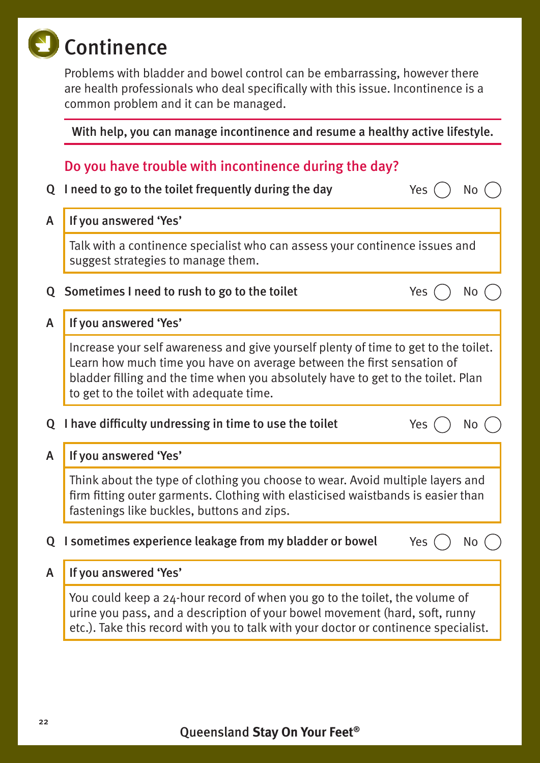# Continence

Problems with bladder and bowel control can be embarrassing, however there are health professionals who deal specifically with this issue. Incontinence is a common problem and it can be managed.

#### With help, you can manage incontinence and resume a healthy active lifestyle.

## Do you have trouble with incontinence during the day?

|                                                                           | Q I need to go to the toilet frequently during the day                                                                                                                                                                                                                                        |     |    |  |
|---------------------------------------------------------------------------|-----------------------------------------------------------------------------------------------------------------------------------------------------------------------------------------------------------------------------------------------------------------------------------------------|-----|----|--|
| A                                                                         | If you answered 'Yes'                                                                                                                                                                                                                                                                         |     |    |  |
|                                                                           | Talk with a continence specialist who can assess your continence issues and<br>suggest strategies to manage them.                                                                                                                                                                             |     |    |  |
| Q                                                                         | Sometimes I need to rush to go to the toilet                                                                                                                                                                                                                                                  | Yes | Νo |  |
| A                                                                         | If you answered 'Yes'                                                                                                                                                                                                                                                                         |     |    |  |
|                                                                           | Increase your self awareness and give yourself plenty of time to get to the toilet.<br>Learn how much time you have on average between the first sensation of<br>bladder filling and the time when you absolutely have to get to the toilet. Plan<br>to get to the toilet with adequate time. |     |    |  |
| Ő                                                                         | I have difficulty undressing in time to use the toilet<br>Yes<br>No                                                                                                                                                                                                                           |     |    |  |
| A                                                                         | If you answered 'Yes'                                                                                                                                                                                                                                                                         |     |    |  |
|                                                                           | Think about the type of clothing you choose to wear. Avoid multiple layers and<br>firm fitting outer garments. Clothing with elasticised waistbands is easier than<br>fastenings like buckles, buttons and zips.                                                                              |     |    |  |
| I sometimes experience leakage from my bladder or bowel<br>Q<br>Yes<br>No |                                                                                                                                                                                                                                                                                               |     |    |  |
| A                                                                         | If you answered 'Yes'                                                                                                                                                                                                                                                                         |     |    |  |
|                                                                           | You could keep a 24-hour record of when you go to the toilet, the volume of<br>urine you pass, and a description of your bowel movement (hard, soft, runny<br>etc.). Take this record with you to talk with your doctor or continence specialist.                                             |     |    |  |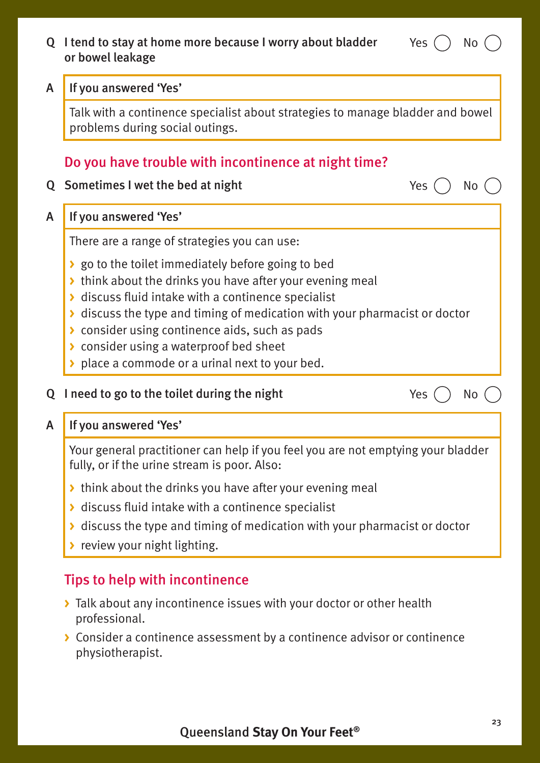#### Q I tend to stay at home more because I worry about bladder or bowel leakage

#### A If you answered 'Yes'

fully, or if the urine stream is poor. Also:

- **>** think about the drinks you have after your evening meal
- **>** discuss fluid intake with a continence specialist
- **>** discuss the type and timing of medication with your pharmacist or doctor
- **>** review your night lighting.

# Tips to help with incontinence

- **>** Talk about any incontinence issues with your doctor or other health professional.
- **>** Consider a continence assessment by a continence advisor or continence physiotherapist.



Yes ( ) No